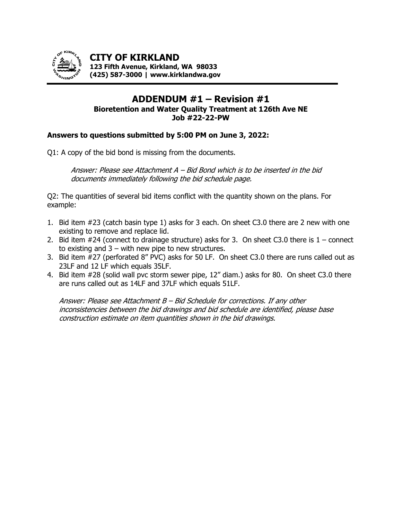

**CITY OF KIRKLAND 123 Fifth Avenue, Kirkland, WA 98033 (425) 587-3000 | www.kirklandwa.gov**

## **ADDENDUM #1 – Revision #1 Bioretention and Water Quality Treatment at 126th Ave NE Job #22-22-PW**

#### **Answers to questions submitted by 5:00 PM on June 3, 2022:**

Q1: A copy of the bid bond is missing from the documents.

Answer: Please see Attachment A – Bid Bond which is to be inserted in the bid documents immediately following the bid schedule page.

Q2: The quantities of several bid items conflict with the quantity shown on the plans. For example:

- 1. Bid item #23 (catch basin type 1) asks for 3 each. On sheet C3.0 there are 2 new with one existing to remove and replace lid.
- 2. Bid item  $#24$  (connect to drainage structure) asks for 3. On sheet C3.0 there is  $1$  connect to existing and  $3 -$  with new pipe to new structures.
- 3. Bid item #27 (perforated 8" PVC) asks for 50 LF. On sheet C3.0 there are runs called out as 23LF and 12 LF which equals 35LF.
- 4. Bid item #28 (solid wall pvc storm sewer pipe, 12" diam.) asks for 80. On sheet C3.0 there are runs called out as 14LF and 37LF which equals 51LF.

Answer: Please see Attachment B – Bid Schedule for corrections. If any other inconsistencies between the bid drawings and bid schedule are identified, please base construction estimate on item quantities shown in the bid drawings.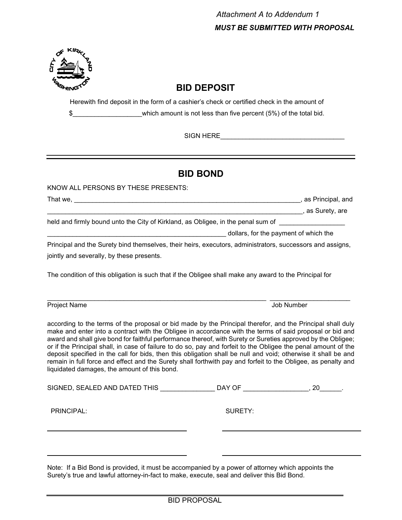

# **BID DEPOSIT**

Herewith find deposit in the form of a cashier's check or certified check in the amount of \$\_\_\_\_\_\_\_\_\_\_\_\_\_\_\_\_\_\_\_which amount is not less than five percent (5%) of the total bid.

SIGN HERE **EXECUTE A SIGN HERE** 

# **BID BOND**

KNOW ALL PERSONS BY THESE PRESENTS:

That we, \_\_\_\_\_\_\_\_\_\_\_\_\_\_\_\_\_\_\_\_\_\_\_\_\_\_\_\_\_\_\_\_\_\_\_\_\_\_\_\_\_\_\_\_\_\_\_\_\_\_\_\_\_\_\_\_\_\_\_\_\_\_, as Principal, and \_\_\_\_\_\_\_\_\_\_\_\_\_\_\_\_\_\_\_\_\_\_\_\_\_\_\_\_\_\_\_\_\_\_\_\_\_\_\_\_\_\_\_\_\_\_\_\_\_\_\_\_\_\_\_\_\_\_\_\_\_\_\_\_\_\_\_\_\_\_, as Surety, are held and firmly bound unto the City of Kirkland, as Obligee, in the penal sum of

dollars, for the payment of which the

Principal and the Surety bind themselves, their heirs, executors, administrators, successors and assigns, jointly and severally, by these presents.

The condition of this obligation is such that if the Obligee shall make any award to the Principal for

Project Name Job Number

according to the terms of the proposal or bid made by the Principal therefor, and the Principal shall duly make and enter into a contract with the Obligee in accordance with the terms of said proposal or bid and award and shall give bond for faithful performance thereof, with Surety or Sureties approved by the Obligee; or if the Principal shall, in case of failure to do so, pay and forfeit to the Obligee the penal amount of the deposit specified in the call for bids, then this obligation shall be null and void; otherwise it shall be and remain in full force and effect and the Surety shall forthwith pay and forfeit to the Obligee, as penalty and liquidated damages, the amount of this bond.

| SIGNED, SEALED AND DATED THIS | DAY OF  | 20 |
|-------------------------------|---------|----|
| PRINCIPAL:                    | SURETY: |    |
|                               |         |    |

Note: If a Bid Bond is provided, it must be accompanied by a power of attorney which appoints the Surety's true and lawful attorney-in-fact to make, execute, seal and deliver this Bid Bond.